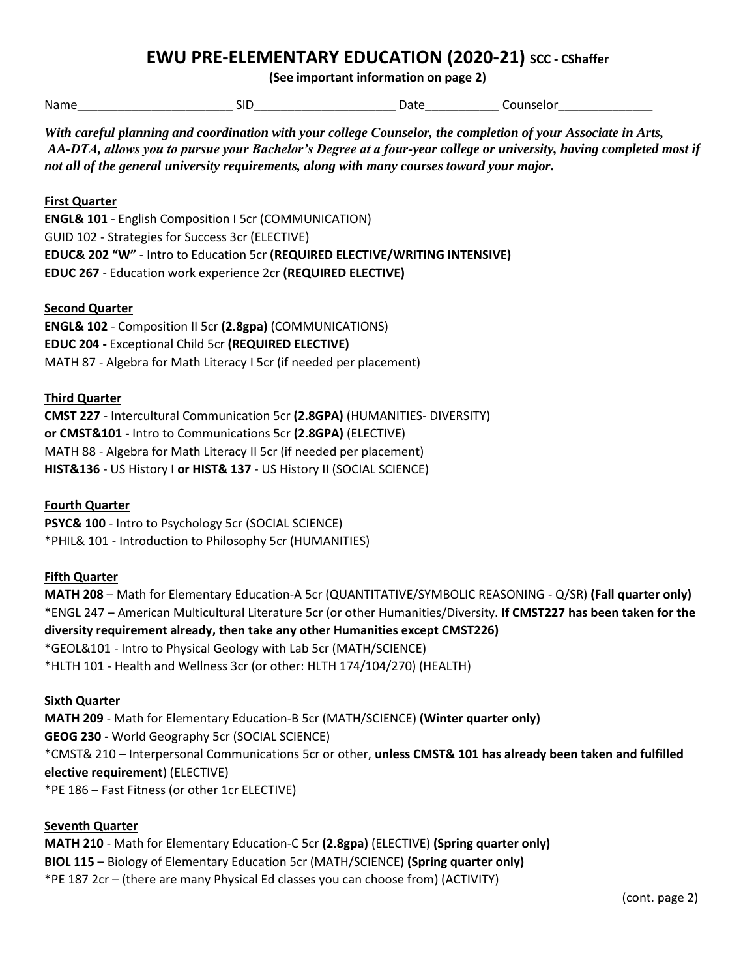# **EWU PRE-ELEMENTARY EDUCATION (2020-21)** SCC - CShaffer

**(See important information on page 2)**

| .<br>Nar | וכ. | . דו | .<br>.calor<br>. . |
|----------|-----|------|--------------------|
|----------|-----|------|--------------------|

*With careful planning and coordination with your college Counselor, the completion of your Associate in Arts, AA-DTA, allows you to pursue your Bachelor's Degree at a four-year college or university, having completed most if not all of the general university requirements, along with many courses toward your major.* 

## **First Quarter**

**ENGL& 101** - English Composition I 5cr (COMMUNICATION) GUID 102 - Strategies for Success 3cr (ELECTIVE) **EDUC& 202 "W"** - Intro to Education 5cr **(REQUIRED ELECTIVE/WRITING INTENSIVE) EDUC 267** - Education work experience 2cr **(REQUIRED ELECTIVE)**

## **Second Quarter**

**ENGL& 102** - Composition II 5cr **(2.8gpa)** (COMMUNICATIONS) **EDUC 204 -** Exceptional Child 5cr **(REQUIRED ELECTIVE)** MATH 87 - Algebra for Math Literacy I 5cr (if needed per placement)

#### **Third Quarter**

**CMST 227** - Intercultural Communication 5cr **(2.8GPA)** (HUMANITIES- DIVERSITY) **or CMST&101 -** Intro to Communications 5cr **(2.8GPA)** (ELECTIVE) MATH 88 - Algebra for Math Literacy II 5cr (if needed per placement) **HIST&136** - US History I **or HIST& 137** - US History II (SOCIAL SCIENCE)

## **Fourth Quarter**

**PSYC& 100** - Intro to Psychology 5cr (SOCIAL SCIENCE) \*PHIL& 101 - Introduction to Philosophy 5cr (HUMANITIES)

#### **Fifth Quarter**

**MATH 208** – Math for Elementary Education-A 5cr (QUANTITATIVE/SYMBOLIC REASONING - Q/SR) **(Fall quarter only)** \*ENGL 247 – American Multicultural Literature 5cr (or other Humanities/Diversity. **If CMST227 has been taken for the diversity requirement already, then take any other Humanities except CMST226)** \*GEOL&101 - Intro to Physical Geology with Lab 5cr (MATH/SCIENCE) \*HLTH 101 - Health and Wellness 3cr (or other: HLTH 174/104/270) (HEALTH)

## **Sixth Quarter**

**MATH 209** - Math for Elementary Education-B 5cr (MATH/SCIENCE) **(Winter quarter only) GEOG 230 -** World Geography 5cr (SOCIAL SCIENCE) \*CMST& 210 – Interpersonal Communications 5cr or other, **unless CMST& 101 has already been taken and fulfilled elective requirement**) (ELECTIVE) \*PE 186 – Fast Fitness (or other 1cr ELECTIVE)

#### **Seventh Quarter**

**MATH 210** - Math for Elementary Education-C 5cr **(2.8gpa)** (ELECTIVE) **(Spring quarter only) BIOL 115** – Biology of Elementary Education 5cr (MATH/SCIENCE) **(Spring quarter only)** \*PE 187 2cr – (there are many Physical Ed classes you can choose from) (ACTIVITY)